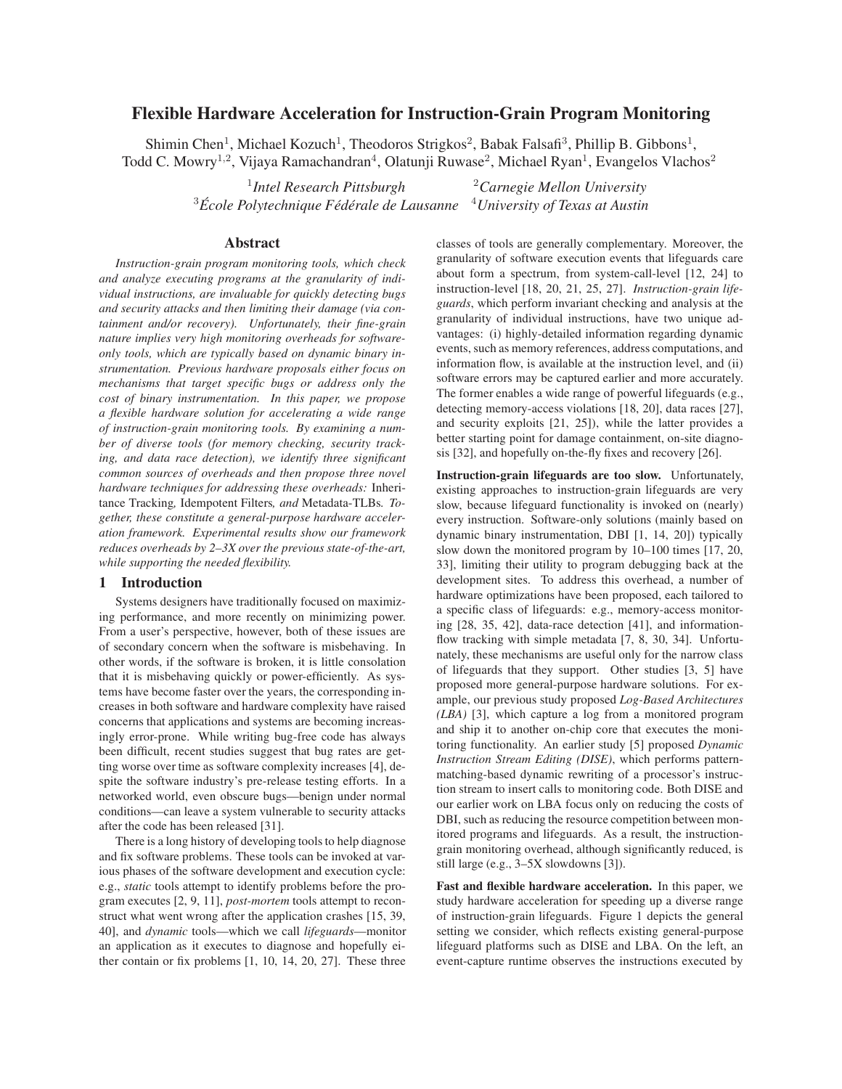# **Flexible Hardware Acceleration for Instruction-Grain Program Monitoring**

Shimin Chen<sup>1</sup>, Michael Kozuch<sup>1</sup>, Theodoros Strigkos<sup>2</sup>, Babak Falsafi<sup>3</sup>, Phillip B. Gibbons<sup>1</sup>, Todd C. Mowry<sup>1,2</sup>, Vijaya Ramachandran<sup>4</sup>, Olatunji Ruwase<sup>2</sup>, Michael Ryan<sup>1</sup>, Evangelos Vlachos<sup>2</sup>

> <sup>1</sup>Intel Research Pittsburgh <sup>2</sup> Carnegie Mellon University <sup>3</sup>*Ecole Polytechnique F ´ ed´ erale de Lausanne ´* <sup>4</sup>*University of Texas at Austin*

## **Abstract**

*Instruction-grain program monitoring tools, which check and analyze executing programs at the granularity of individual instructions, are invaluable for quickly detecting bugs and security attacks and then limiting their damage (via containment and/or recovery). Unfortunately, their fine-grain nature implies very high monitoring overheads for softwareonly tools, which are typically based on dynamic binary instrumentation. Previous hardware proposals either focus on mechanisms that target specific bugs or address only the cost of binary instrumentation. In this paper, we propose a flexible hardware solution for accelerating a wide range of instruction-grain monitoring tools. By examining a number of diverse tools (for memory checking, security tracking, and data race detection), we identify three significant common sources of overheads and then propose three novel hardware techniques for addressing these overheads:* Inheritance Tracking*,* Idempotent Filters*, and* Metadata-TLBs*. Together, these constitute a general-purpose hardware acceleration framework. Experimental results show our framework reduces overheads by 2–3X over the previous state-of-the-art, while supporting the needed flexibility.*

## **1 Introduction**

Systems designers have traditionally focused on maximizing performance, and more recently on minimizing power. From a user's perspective, however, both of these issues are of secondary concern when the software is misbehaving. In other words, if the software is broken, it is little consolation that it is misbehaving quickly or power-efficiently. As systems have become faster over the years, the corresponding increases in both software and hardware complexity have raised concerns that applications and systems are becoming increasingly error-prone. While writing bug-free code has always been difficult, recent studies suggest that bug rates are getting worse over time as software complexity increases [4], despite the software industry's pre-release testing efforts. In a networked world, even obscure bugs—benign under normal conditions—can leave a system vulnerable to security attacks after the code has been released [31].

There is a long history of developing tools to help diagnose and fix software problems. These tools can be invoked at various phases of the software development and execution cycle: e.g., *static* tools attempt to identify problems before the program executes [2, 9, 11], *post-mortem* tools attempt to reconstruct what went wrong after the application crashes [15, 39, 40], and *dynamic* tools—which we call *lifeguards*—monitor an application as it executes to diagnose and hopefully either contain or fix problems [1, 10, 14, 20, 27]. These three classes of tools are generally complementary. Moreover, the granularity of software execution events that lifeguards care about form a spectrum, from system-call-level [12, 24] to instruction-level [18, 20, 21, 25, 27]. *Instruction-grain lifeguards*, which perform invariant checking and analysis at the granularity of individual instructions, have two unique advantages: (i) highly-detailed information regarding dynamic events, such as memory references, address computations, and information flow, is available at the instruction level, and (ii) software errors may be captured earlier and more accurately. The former enables a wide range of powerful lifeguards (e.g., detecting memory-access violations [18, 20], data races [27], and security exploits [21, 25]), while the latter provides a better starting point for damage containment, on-site diagnosis [32], and hopefully on-the-fly fixes and recovery [26].

**Instruction-grain lifeguards are too slow.** Unfortunately, existing approaches to instruction-grain lifeguards are very slow, because lifeguard functionality is invoked on (nearly) every instruction. Software-only solutions (mainly based on dynamic binary instrumentation, DBI [1, 14, 20]) typically slow down the monitored program by 10–100 times [17, 20, 33], limiting their utility to program debugging back at the development sites. To address this overhead, a number of hardware optimizations have been proposed, each tailored to a specific class of lifeguards: e.g., memory-access monitoring [28, 35, 42], data-race detection [41], and informationflow tracking with simple metadata [7, 8, 30, 34]. Unfortunately, these mechanisms are useful only for the narrow class of lifeguards that they support. Other studies [3, 5] have proposed more general-purpose hardware solutions. For example, our previous study proposed *Log-Based Architectures (LBA)* [3], which capture a log from a monitored program and ship it to another on-chip core that executes the monitoring functionality. An earlier study [5] proposed *Dynamic Instruction Stream Editing (DISE)*, which performs patternmatching-based dynamic rewriting of a processor's instruction stream to insert calls to monitoring code. Both DISE and our earlier work on LBA focus only on reducing the costs of DBI, such as reducing the resource competition between monitored programs and lifeguards. As a result, the instructiongrain monitoring overhead, although significantly reduced, is still large (e.g., 3–5X slowdowns [3]).

**Fast and flexible hardware acceleration.** In this paper, we study hardware acceleration for speeding up a diverse range of instruction-grain lifeguards. Figure 1 depicts the general setting we consider, which reflects existing general-purpose lifeguard platforms such as DISE and LBA. On the left, an event-capture runtime observes the instructions executed by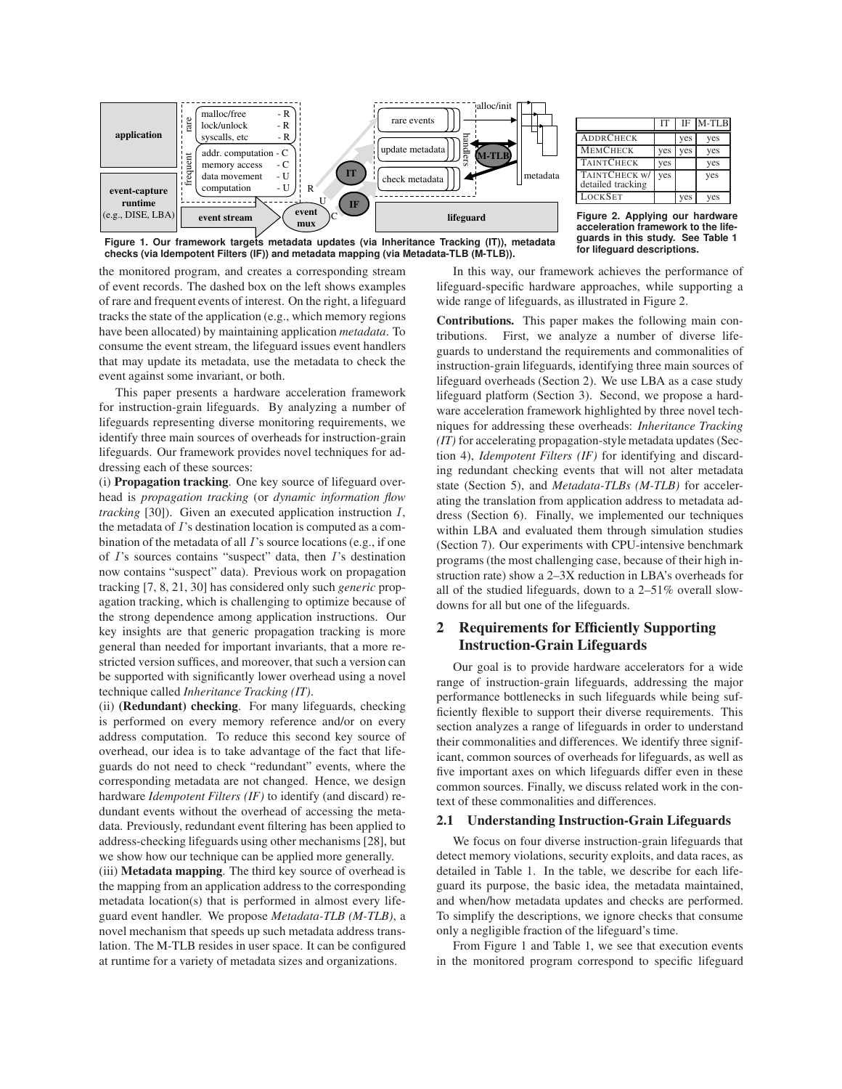

|                                    | IT  | IF  | M-TLB |
|------------------------------------|-----|-----|-------|
| <b>ADDRCHECK</b>                   |     | yes | yes   |
| <b>МЕМСНЕСК</b>                    | yes | yes | yes   |
| <b>TAINTCHECK</b>                  | yes |     | yes   |
| TAINTCHECK W/<br>detailed tracking | yes |     | yes   |
| LOCKSET                            |     | ves | es    |

**Figure 1. Our framework targets metadata updates (via Inheritance Tracking (IT)), metadata checks (via Idempotent Filters (IF)) and metadata mapping (via Metadata-TLB (M-TLB)). acceleration framework to the lifeguards in this study. See Table 1 for lifeguard descriptions.**

the monitored program, and creates a corresponding stream of event records. The dashed box on the left shows examples of rare and frequent events of interest. On the right, a lifeguard tracks the state of the application (e.g., which memory regions have been allocated) by maintaining application *metadata*. To consume the event stream, the lifeguard issues event handlers that may update its metadata, use the metadata to check the event against some invariant, or both.

This paper presents a hardware acceleration framework for instruction-grain lifeguards. By analyzing a number of lifeguards representing diverse monitoring requirements, we identify three main sources of overheads for instruction-grain lifeguards. Our framework provides novel techniques for addressing each of these sources:

(i) **Propagation tracking**. One key source of lifeguard overhead is *propagation tracking* (or *dynamic information flow tracking* [30]). Given an executed application instruction I, the metadata of I's destination location is computed as a combination of the metadata of all I's source locations (e.g., if one of I's sources contains "suspect" data, then I's destination now contains "suspect" data). Previous work on propagation tracking [7, 8, 21, 30] has considered only such *generic* propagation tracking, which is challenging to optimize because of the strong dependence among application instructions. Our key insights are that generic propagation tracking is more general than needed for important invariants, that a more restricted version suffices, and moreover, that such a version can be supported with significantly lower overhead using a novel technique called *Inheritance Tracking (IT)*.

(ii) **(Redundant) checking**. For many lifeguards, checking is performed on every memory reference and/or on every address computation. To reduce this second key source of overhead, our idea is to take advantage of the fact that lifeguards do not need to check "redundant" events, where the corresponding metadata are not changed. Hence, we design hardware *Idempotent Filters (IF)* to identify (and discard) redundant events without the overhead of accessing the metadata. Previously, redundant event filtering has been applied to address-checking lifeguards using other mechanisms [28], but we show how our technique can be applied more generally.

(iii) **Metadata mapping**. The third key source of overhead is the mapping from an application address to the corresponding metadata location(s) that is performed in almost every lifeguard event handler. We propose *Metadata-TLB (M-TLB)*, a novel mechanism that speeds up such metadata address translation. The M-TLB resides in user space. It can be configured at runtime for a variety of metadata sizes and organizations.

In this way, our framework achieves the performance of lifeguard-specific hardware approaches, while supporting a wide range of lifeguards, as illustrated in Figure 2.

**Contributions.** This paper makes the following main contributions. First, we analyze a number of diverse lifeguards to understand the requirements and commonalities of instruction-grain lifeguards, identifying three main sources of lifeguard overheads (Section 2). We use LBA as a case study lifeguard platform (Section 3). Second, we propose a hardware acceleration framework highlighted by three novel techniques for addressing these overheads: *Inheritance Tracking (IT)* for accelerating propagation-style metadata updates (Section 4), *Idempotent Filters (IF)* for identifying and discarding redundant checking events that will not alter metadata state (Section 5), and *Metadata-TLBs (M-TLB)* for accelerating the translation from application address to metadata address (Section 6). Finally, we implemented our techniques within LBA and evaluated them through simulation studies (Section 7). Our experiments with CPU-intensive benchmark programs (the most challenging case, because of their high instruction rate) show a 2–3X reduction in LBA's overheads for all of the studied lifeguards, down to a 2–51% overall slowdowns for all but one of the lifeguards.

## **2 Requirements for Efficiently Supporting Instruction-Grain Lifeguards**

Our goal is to provide hardware accelerators for a wide range of instruction-grain lifeguards, addressing the major performance bottlenecks in such lifeguards while being sufficiently flexible to support their diverse requirements. This section analyzes a range of lifeguards in order to understand their commonalities and differences. We identify three significant, common sources of overheads for lifeguards, as well as five important axes on which lifeguards differ even in these common sources. Finally, we discuss related work in the context of these commonalities and differences.

#### **2.1 Understanding Instruction-Grain Lifeguards**

We focus on four diverse instruction-grain lifeguards that detect memory violations, security exploits, and data races, as detailed in Table 1. In the table, we describe for each lifeguard its purpose, the basic idea, the metadata maintained, and when/how metadata updates and checks are performed. To simplify the descriptions, we ignore checks that consume only a negligible fraction of the lifeguard's time.

From Figure 1 and Table 1, we see that execution events in the monitored program correspond to specific lifeguard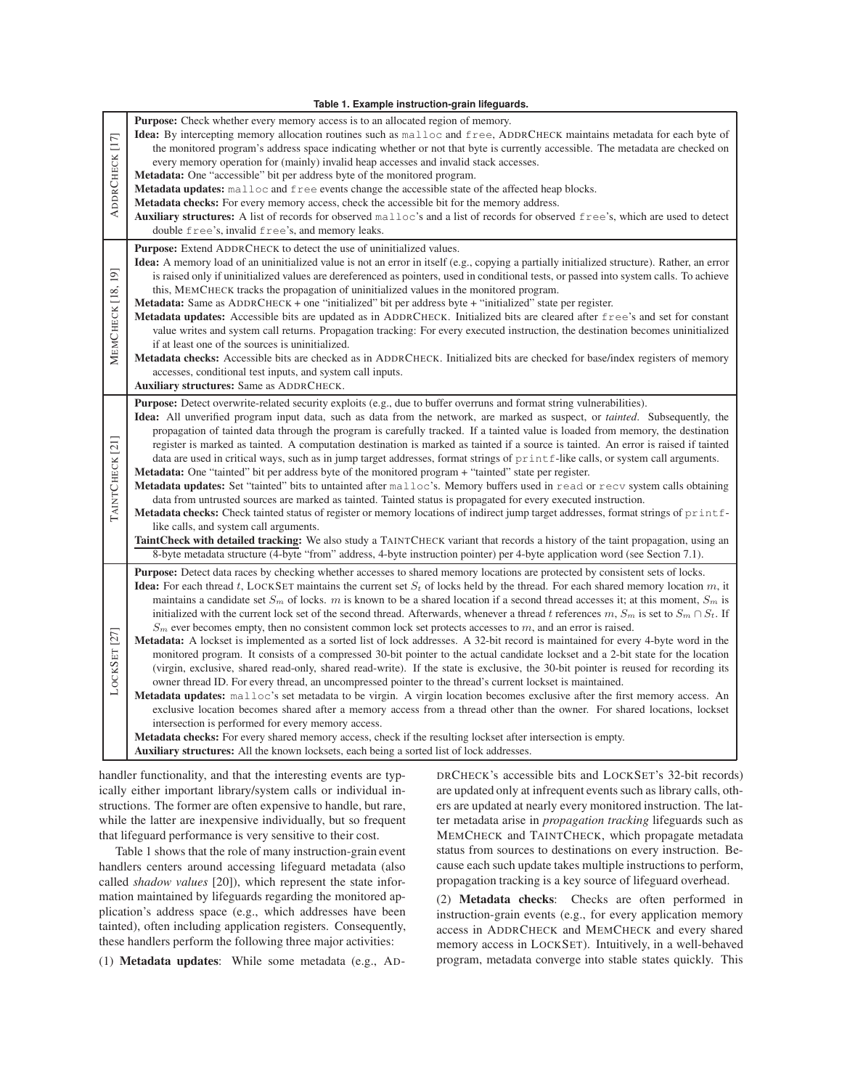|                            | Table 1. Example instruction-grain lifeguards.                                                                                                                                                                                                                                                                                                                                                                                                                                                                                                                                                                                                                                                                                                                                                                                                                                                                                                                                                                                                                                                                                                                                                                                                                                                                                                                                                                                                                                                                                                                                                                                                                                                                                                                        |
|----------------------------|-----------------------------------------------------------------------------------------------------------------------------------------------------------------------------------------------------------------------------------------------------------------------------------------------------------------------------------------------------------------------------------------------------------------------------------------------------------------------------------------------------------------------------------------------------------------------------------------------------------------------------------------------------------------------------------------------------------------------------------------------------------------------------------------------------------------------------------------------------------------------------------------------------------------------------------------------------------------------------------------------------------------------------------------------------------------------------------------------------------------------------------------------------------------------------------------------------------------------------------------------------------------------------------------------------------------------------------------------------------------------------------------------------------------------------------------------------------------------------------------------------------------------------------------------------------------------------------------------------------------------------------------------------------------------------------------------------------------------------------------------------------------------|
| ADDRCHECK [17]             | Purpose: Check whether every memory access is to an allocated region of memory.<br><b>Idea:</b> By intercepting memory allocation routines such as malloc and free, ADDRCHECK maintains metadata for each byte of<br>the monitored program's address space indicating whether or not that byte is currently accessible. The metadata are checked on<br>every memory operation for (mainly) invalid heap accesses and invalid stack accesses.<br>Metadata: One "accessible" bit per address byte of the monitored program.<br><b>Metadata updates:</b> malloc and free events change the accessible state of the affected heap blocks.<br><b>Metadata checks:</b> For every memory access, check the accessible bit for the memory address.<br>Auxiliary structures: A list of records for observed malloc's and a list of records for observed free's, which are used to detect<br>double free's, invalid free's, and memory leaks.                                                                                                                                                                                                                                                                                                                                                                                                                                                                                                                                                                                                                                                                                                                                                                                                                                   |
| <b>MEMCHECK</b> [18, 19]   | <b>Purpose:</b> Extend ADDRCHECK to detect the use of uninitialized values.<br>Idea: A memory load of an uninitialized value is not an error in itself (e.g., copying a partially initialized structure). Rather, an error<br>is raised only if uninitialized values are dereferenced as pointers, used in conditional tests, or passed into system calls. To achieve<br>this, MEMCHECK tracks the propagation of uninitialized values in the monitored program.<br>Metadata: Same as ADDRCHECK + one "initialized" bit per address byte + "initialized" state per register.<br>Metadata updates: Accessible bits are updated as in ADDRCHECK. Initialized bits are cleared after free's and set for constant<br>value writes and system call returns. Propagation tracking: For every executed instruction, the destination becomes uninitialized<br>if at least one of the sources is uninitialized.<br>Metadata checks: Accessible bits are checked as in ADDRCHECK. Initialized bits are checked for base/index registers of memory<br>accesses, conditional test inputs, and system call inputs.<br><b>Auxiliary structures: Same as ADDRCHECK.</b>                                                                                                                                                                                                                                                                                                                                                                                                                                                                                                                                                                                                              |
| TAINTCHECK <sup>[21]</sup> | Purpose: Detect overwrite-related security exploits (e.g., due to buffer overruns and format string vulnerabilities).<br>Idea: All unverified program input data, such as data from the network, are marked as suspect, or <i>tainted</i> . Subsequently, the<br>propagation of tainted data through the program is carefully tracked. If a tainted value is loaded from memory, the destination<br>register is marked as tainted. A computation destination is marked as tainted if a source is tainted. An error is raised if tainted<br>data are used in critical ways, such as in jump target addresses, format strings of $print$ -like calls, or system call arguments.<br><b>Metadata:</b> One "tainted" bit per address byte of the monitored program + "tainted" state per register.<br>Metadata updates: Set "tainted" bits to untainted after malloc's. Memory buffers used in read or recv system calls obtaining<br>data from untrusted sources are marked as tainted. Tainted status is propagated for every executed instruction.<br>Metadata checks: Check tainted status of register or memory locations of indirect jump target addresses, format strings of printf-<br>like calls, and system call arguments.<br>TaintCheck with detailed tracking: We also study a TAINTCHECK variant that records a history of the taint propagation, using an<br>8-byte metadata structure (4-byte "from" address, 4-byte instruction pointer) per 4-byte application word (see Section 7.1).                                                                                                                                                                                                                                                                   |
| LOCKSET <sub>[27]</sub>    | Purpose: Detect data races by checking whether accesses to shared memory locations are protected by consistent sets of locks.<br><b>Idea:</b> For each thread $t$ , LOCKSET maintains the current set $S_t$ of locks held by the thread. For each shared memory location $m$ , it<br>maintains a candidate set $S_m$ of locks. m is known to be a shared location if a second thread accesses it; at this moment, $S_m$ is<br>initialized with the current lock set of the second thread. Afterwards, whenever a thread t references $m, S_m$ is set to $S_m \cap S_t$ . If<br>$S_m$ ever becomes empty, then no consistent common lock set protects accesses to m, and an error is raised.<br>Metadata: A lockset is implemented as a sorted list of lock addresses. A 32-bit record is maintained for every 4-byte word in the<br>monitored program. It consists of a compressed 30-bit pointer to the actual candidate lockset and a 2-bit state for the location<br>(virgin, exclusive, shared read-only, shared read-write). If the state is exclusive, the 30-bit pointer is reused for recording its<br>owner thread ID. For every thread, an uncompressed pointer to the thread's current lockset is maintained.<br>Metadata updates: malloc's set metadata to be virgin. A virgin location becomes exclusive after the first memory access. An<br>exclusive location becomes shared after a memory access from a thread other than the owner. For shared locations, lockset<br>intersection is performed for every memory access.<br><b>Metadata checks:</b> For every shared memory access, check if the resulting lockset after intersection is empty.<br><b>Auxiliary structures:</b> All the known locksets, each being a sorted list of lock addresses. |

handler functionality, and that the interesting events are typically either important library/system calls or individual instructions. The former are often expensive to handle, but rare, while the latter are inexpensive individually, but so frequent that lifeguard performance is very sensitive to their cost.

Table 1 shows that the role of many instruction-grain event handlers centers around accessing lifeguard metadata (also called *shadow values* [20]), which represent the state information maintained by lifeguards regarding the monitored application's address space (e.g., which addresses have been tainted), often including application registers. Consequently, these handlers perform the following three major activities:

(1) **Metadata updates**: While some metadata (e.g., AD-

DRCHECK's accessible bits and LOCKSET's 32-bit records) are updated only at infrequent events such as library calls, others are updated at nearly every monitored instruction. The latter metadata arise in *propagation tracking* lifeguards such as MEMCHECK and TAINTCHECK, which propagate metadata status from sources to destinations on every instruction. Because each such update takes multiple instructions to perform, propagation tracking is a key source of lifeguard overhead.

(2) **Metadata checks**: Checks are often performed in instruction-grain events (e.g., for every application memory access in ADDRCHECK and MEMCHECK and every shared memory access in LOCKSET). Intuitively, in a well-behaved program, metadata converge into stable states quickly. This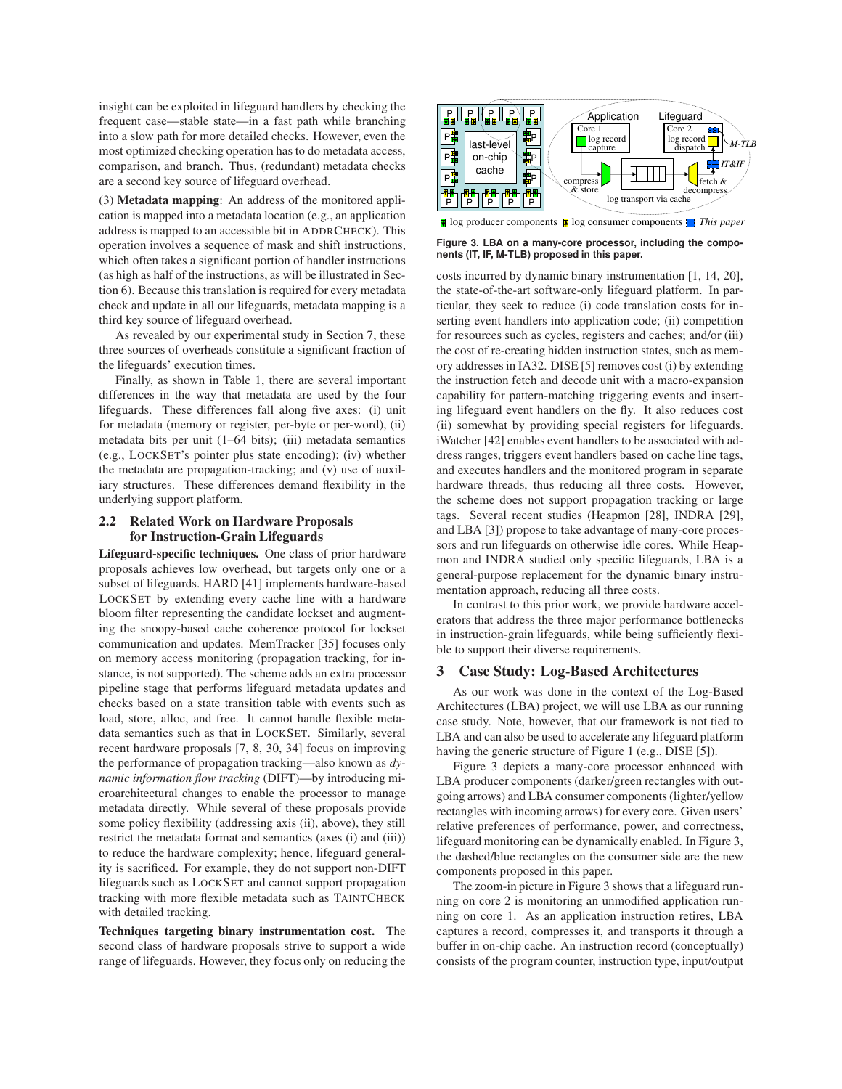insight can be exploited in lifeguard handlers by checking the frequent case—stable state—in a fast path while branching into a slow path for more detailed checks. However, even the most optimized checking operation has to do metadata access, comparison, and branch. Thus, (redundant) metadata checks are a second key source of lifeguard overhead.

(3) **Metadata mapping**: An address of the monitored application is mapped into a metadata location (e.g., an application address is mapped to an accessible bit in ADDRCHECK). This operation involves a sequence of mask and shift instructions, which often takes a significant portion of handler instructions (as high as half of the instructions, as will be illustrated in Section 6). Because this translation is required for every metadata check and update in all our lifeguards, metadata mapping is a third key source of lifeguard overhead.

As revealed by our experimental study in Section 7, these three sources of overheads constitute a significant fraction of the lifeguards' execution times.

Finally, as shown in Table 1, there are several important differences in the way that metadata are used by the four lifeguards. These differences fall along five axes: (i) unit for metadata (memory or register, per-byte or per-word), (ii) metadata bits per unit (1–64 bits); (iii) metadata semantics (e.g., LOCKSET's pointer plus state encoding); (iv) whether the metadata are propagation-tracking; and (v) use of auxiliary structures. These differences demand flexibility in the underlying support platform.

## **2.2 Related Work on Hardware Proposals for Instruction-Grain Lifeguards**

**Lifeguard-specific techniques.** One class of prior hardware proposals achieves low overhead, but targets only one or a subset of lifeguards. HARD [41] implements hardware-based LOCKSET by extending every cache line with a hardware bloom filter representing the candidate lockset and augmenting the snoopy-based cache coherence protocol for lockset communication and updates. MemTracker [35] focuses only on memory access monitoring (propagation tracking, for instance, is not supported). The scheme adds an extra processor pipeline stage that performs lifeguard metadata updates and checks based on a state transition table with events such as load, store, alloc, and free. It cannot handle flexible metadata semantics such as that in LOCKSET. Similarly, several recent hardware proposals [7, 8, 30, 34] focus on improving the performance of propagation tracking—also known as *dynamic information flow tracking* (DIFT)—by introducing microarchitectural changes to enable the processor to manage metadata directly. While several of these proposals provide some policy flexibility (addressing axis (ii), above), they still restrict the metadata format and semantics (axes (i) and (iii)) to reduce the hardware complexity; hence, lifeguard generality is sacrificed. For example, they do not support non-DIFT lifeguards such as LOCKSET and cannot support propagation tracking with more flexible metadata such as TAINTCHECK with detailed tracking.

**Techniques targeting binary instrumentation cost.** The second class of hardware proposals strive to support a wide range of lifeguards. However, they focus only on reducing the



log producer components **a** log consumer components **T** *This paper* 

**Figure 3. LBA on a many-core processor, including the components (IT, IF, M-TLB) proposed in this paper.**

costs incurred by dynamic binary instrumentation [1, 14, 20], the state-of-the-art software-only lifeguard platform. In particular, they seek to reduce (i) code translation costs for inserting event handlers into application code; (ii) competition for resources such as cycles, registers and caches; and/or (iii) the cost of re-creating hidden instruction states, such as memory addresses in IA32. DISE [5] removes cost (i) by extending the instruction fetch and decode unit with a macro-expansion capability for pattern-matching triggering events and inserting lifeguard event handlers on the fly. It also reduces cost (ii) somewhat by providing special registers for lifeguards. iWatcher [42] enables event handlers to be associated with address ranges, triggers event handlers based on cache line tags, and executes handlers and the monitored program in separate hardware threads, thus reducing all three costs. However, the scheme does not support propagation tracking or large tags. Several recent studies (Heapmon [28], INDRA [29], and LBA [3]) propose to take advantage of many-core processors and run lifeguards on otherwise idle cores. While Heapmon and INDRA studied only specific lifeguards, LBA is a general-purpose replacement for the dynamic binary instrumentation approach, reducing all three costs.

In contrast to this prior work, we provide hardware accelerators that address the three major performance bottlenecks in instruction-grain lifeguards, while being sufficiently flexible to support their diverse requirements.

## **3 Case Study: Log-Based Architectures**

As our work was done in the context of the Log-Based Architectures (LBA) project, we will use LBA as our running case study. Note, however, that our framework is not tied to LBA and can also be used to accelerate any lifeguard platform having the generic structure of Figure 1 (e.g., DISE [5]).

Figure 3 depicts a many-core processor enhanced with LBA producer components (darker/green rectangles with outgoing arrows) and LBA consumer components (lighter/yellow rectangles with incoming arrows) for every core. Given users' relative preferences of performance, power, and correctness, lifeguard monitoring can be dynamically enabled. In Figure 3, the dashed/blue rectangles on the consumer side are the new components proposed in this paper.

The zoom-in picture in Figure 3 shows that a lifeguard running on core 2 is monitoring an unmodified application running on core 1. As an application instruction retires, LBA captures a record, compresses it, and transports it through a buffer in on-chip cache. An instruction record (conceptually) consists of the program counter, instruction type, input/output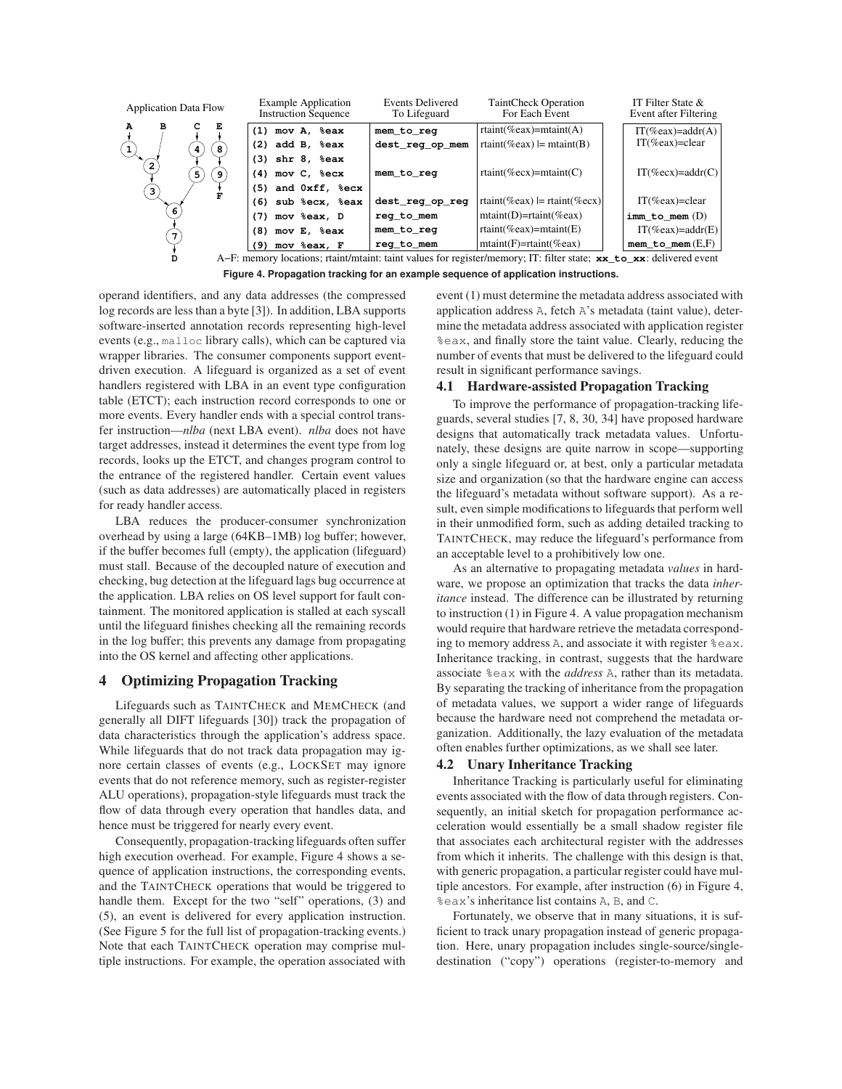

**Figure 4. Propagation tracking for an example sequence of application instructions.**

operand identifiers, and any data addresses (the compressed log records are less than a byte [3]). In addition, LBA supports software-inserted annotation records representing high-level events (e.g., malloc library calls), which can be captured via wrapper libraries. The consumer components support eventdriven execution. A lifeguard is organized as a set of event handlers registered with LBA in an event type configuration table (ETCT); each instruction record corresponds to one or more events. Every handler ends with a special control transfer instruction—*nlba* (next LBA event). *nlba* does not have target addresses, instead it determines the event type from log records, looks up the ETCT, and changes program control to the entrance of the registered handler. Certain event values (such as data addresses) are automatically placed in registers for ready handler access.

LBA reduces the producer-consumer synchronization overhead by using a large (64KB–1MB) log buffer; however, if the buffer becomes full (empty), the application (lifeguard) must stall. Because of the decoupled nature of execution and checking, bug detection at the lifeguard lags bug occurrence at the application. LBA relies on OS level support for fault containment. The monitored application is stalled at each syscall until the lifeguard finishes checking all the remaining records in the log buffer; this prevents any damage from propagating into the OS kernel and affecting other applications.

## **4 Optimizing Propagation Tracking**

Lifeguards such as TAINTCHECK and MEMCHECK (and generally all DIFT lifeguards [30]) track the propagation of data characteristics through the application's address space. While lifeguards that do not track data propagation may ignore certain classes of events (e.g., LOCKSET may ignore events that do not reference memory, such as register-register ALU operations), propagation-style lifeguards must track the flow of data through every operation that handles data, and hence must be triggered for nearly every event.

Consequently, propagation-tracking lifeguards often suffer high execution overhead. For example, Figure 4 shows a sequence of application instructions, the corresponding events, and the TAINTCHECK operations that would be triggered to handle them. Except for the two "self" operations, (3) and (5), an event is delivered for every application instruction. (See Figure 5 for the full list of propagation-tracking events.) Note that each TAINTCHECK operation may comprise multiple instructions. For example, the operation associated with event (1) must determine the metadata address associated with application address A, fetch A's metadata (taint value), determine the metadata address associated with application register %eax, and finally store the taint value. Clearly, reducing the number of events that must be delivered to the lifeguard could result in significant performance savings.

### **4.1 Hardware-assisted Propagation Tracking**

To improve the performance of propagation-tracking lifeguards, several studies [7, 8, 30, 34] have proposed hardware designs that automatically track metadata values. Unfortunately, these designs are quite narrow in scope—supporting only a single lifeguard or, at best, only a particular metadata size and organization (so that the hardware engine can access the lifeguard's metadata without software support). As a result, even simple modifications to lifeguards that perform well in their unmodified form, such as adding detailed tracking to TAINTCHECK, may reduce the lifeguard's performance from an acceptable level to a prohibitively low one.

As an alternative to propagating metadata *values* in hardware, we propose an optimization that tracks the data *inheritance* instead. The difference can be illustrated by returning to instruction (1) in Figure 4. A value propagation mechanism would require that hardware retrieve the metadata corresponding to memory address A, and associate it with register %eax. Inheritance tracking, in contrast, suggests that the hardware associate %eax with the *address* A, rather than its metadata. By separating the tracking of inheritance from the propagation of metadata values, we support a wider range of lifeguards because the hardware need not comprehend the metadata organization. Additionally, the lazy evaluation of the metadata often enables further optimizations, as we shall see later.

#### **4.2 Unary Inheritance Tracking**

Inheritance Tracking is particularly useful for eliminating events associated with the flow of data through registers. Consequently, an initial sketch for propagation performance acceleration would essentially be a small shadow register file that associates each architectural register with the addresses from which it inherits. The challenge with this design is that, with generic propagation, a particular register could have multiple ancestors. For example, after instruction (6) in Figure 4, %eax's inheritance list contains A, B, and C.

Fortunately, we observe that in many situations, it is sufficient to track unary propagation instead of generic propagation. Here, unary propagation includes single-source/singledestination ("copy") operations (register-to-memory and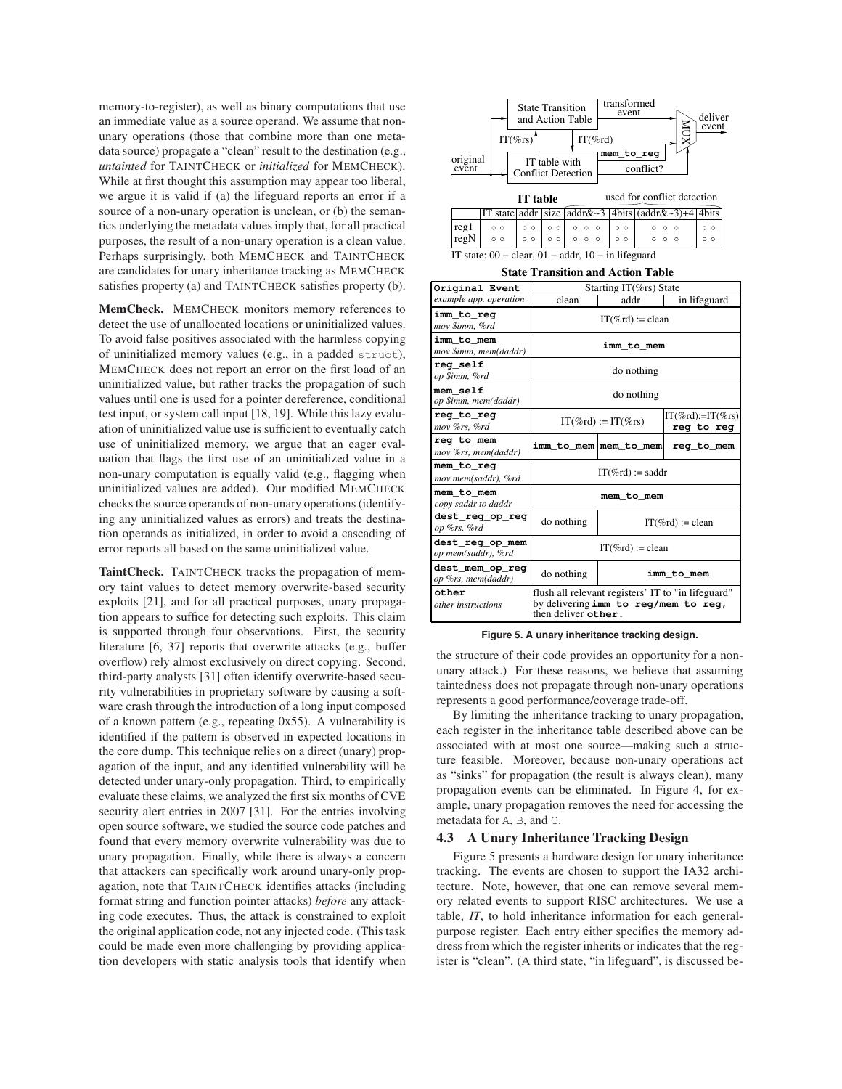memory-to-register), as well as binary computations that use an immediate value as a source operand. We assume that nonunary operations (those that combine more than one metadata source) propagate a "clean" result to the destination (e.g., *untainted* for TAINTCHECK or *initialized* for MEMCHECK). While at first thought this assumption may appear too liberal, we argue it is valid if (a) the lifeguard reports an error if a source of a non-unary operation is unclean, or (b) the semantics underlying the metadata values imply that, for all practical purposes, the result of a non-unary operation is a clean value. Perhaps surprisingly, both MEMCHECK and TAINTCHECK are candidates for unary inheritance tracking as MEMCHECK satisfies property (a) and TAINTCHECK satisfies property (b).

**MemCheck.** MEMCHECK monitors memory references to detect the use of unallocated locations or uninitialized values. To avoid false positives associated with the harmless copying of uninitialized memory values (e.g., in a padded struct), MEMCHECK does not report an error on the first load of an uninitialized value, but rather tracks the propagation of such values until one is used for a pointer dereference, conditional test input, or system call input [18, 19]. While this lazy evaluation of uninitialized value use is sufficient to eventually catch use of uninitialized memory, we argue that an eager evaluation that flags the first use of an uninitialized value in a non-unary computation is equally valid (e.g., flagging when uninitialized values are added). Our modified MEMCHECK checks the source operands of non-unary operations (identifying any uninitialized values as errors) and treats the destination operands as initialized, in order to avoid a cascading of error reports all based on the same uninitialized value.

**TaintCheck.** TAINTCHECK tracks the propagation of memory taint values to detect memory overwrite-based security exploits [21], and for all practical purposes, unary propagation appears to suffice for detecting such exploits. This claim is supported through four observations. First, the security literature [6, 37] reports that overwrite attacks (e.g., buffer overflow) rely almost exclusively on direct copying. Second, third-party analysts [31] often identify overwrite-based security vulnerabilities in proprietary software by causing a software crash through the introduction of a long input composed of a known pattern (e.g., repeating 0x55). A vulnerability is identified if the pattern is observed in expected locations in the core dump. This technique relies on a direct (unary) propagation of the input, and any identified vulnerability will be detected under unary-only propagation. Third, to empirically evaluate these claims, we analyzed the first six months of CVE security alert entries in 2007 [31]. For the entries involving open source software, we studied the source code patches and found that every memory overwrite vulnerability was due to unary propagation. Finally, while there is always a concern that attackers can specifically work around unary-only propagation, note that TAINTCHECK identifies attacks (including format string and function pointer attacks) *before* any attacking code executes. Thus, the attack is constrained to exploit the original application code, not any injected code. (Thistask could be made even more challenging by providing application developers with static analysis tools that identify when



|      | TT table                                                       |  |                                 |  | used for commet detection |  |                 |                     |     |  |                 |
|------|----------------------------------------------------------------|--|---------------------------------|--|---------------------------|--|-----------------|---------------------|-----|--|-----------------|
|      | $IT state   addr  size   addr&3   4bits   (addr&3)+4   4bits $ |  |                                 |  |                           |  |                 |                     |     |  |                 |
| reg1 | $\circ$ $\circ$                                                |  |                                 |  |                           |  | 00 00 000 00    | $\circ \circ \circ$ |     |  | $\circ$ $\circ$ |
| regN | $\circ$ $\circ$                                                |  | $\circ \circ \circ \circ \circ$ |  |                           |  | $\circ$ $\circ$ |                     | 000 |  | $\circ$ $\circ$ |

IT state:  $00 - \text{clear}, 01 - \text{addr}, 10 - \text{in}$  lifeguard

| Original Event                        | Starting $IT(\%rs)$ State                                                                                         |                        |                                    |  |  |  |
|---------------------------------------|-------------------------------------------------------------------------------------------------------------------|------------------------|------------------------------------|--|--|--|
| example app. operation                | clean                                                                                                             | addr                   | in lifeguard                       |  |  |  |
| imm_to_req<br>mov \$imm, %rd          | $IT(\%rd) := \text{clean}$                                                                                        |                        |                                    |  |  |  |
| imm to mem<br>mov \$imm, mem(daddr)   | imm to mem                                                                                                        |                        |                                    |  |  |  |
| req self<br>op \$imm, %rd             | do nothing                                                                                                        |                        |                                    |  |  |  |
| mem self<br>op \$imm, mem(daddr)      | do nothing                                                                                                        |                        |                                    |  |  |  |
| req_to_req<br>mov %rs, %rd            |                                                                                                                   | $IT(\%rd) := IT(\%rs)$ | $IT(\%rd):=IT(\%rs)$<br>reg to reg |  |  |  |
| reg to mem<br>mov %rs, mem(daddr)     |                                                                                                                   | imm_to_mem mem_to_mem  | reg to mem                         |  |  |  |
| mem to req<br>mov mem(saddr), %rd     |                                                                                                                   | $IT(\%rd) :=$ saddr    |                                    |  |  |  |
| mem to mem<br>copy saddr to daddr     | mem to mem                                                                                                        |                        |                                    |  |  |  |
| dest_reg_op_reg<br>op %rs, %rd        | do nothing                                                                                                        |                        | $IT(\%rd) := \text{clean}$         |  |  |  |
| dest_req_op_mem<br>op mem(saddr), %rd | $IT(\%rd) := \text{clean}$                                                                                        |                        |                                    |  |  |  |
| dest_mem_op_req<br>op %rs, mem(daddr) | do nothing                                                                                                        |                        | imm to mem                         |  |  |  |
| other<br>other instructions           | flush all relevant registers' IT to "in lifeguard"<br>by delivering imm_to_reg/mem_to_reg,<br>then deliver other. |                        |                                    |  |  |  |

**Figure 5. A unary inheritance tracking design.**

the structure of their code provides an opportunity for a nonunary attack.) For these reasons, we believe that assuming taintedness does not propagate through non-unary operations represents a good performance/coverage trade-off.

By limiting the inheritance tracking to unary propagation, each register in the inheritance table described above can be associated with at most one source—making such a structure feasible. Moreover, because non-unary operations act as "sinks" for propagation (the result is always clean), many propagation events can be eliminated. In Figure 4, for example, unary propagation removes the need for accessing the metadata for A, B, and C.

### **4.3 A Unary Inheritance Tracking Design**

Figure 5 presents a hardware design for unary inheritance tracking. The events are chosen to support the IA32 architecture. Note, however, that one can remove several memory related events to support RISC architectures. We use a table, *IT*, to hold inheritance information for each generalpurpose register. Each entry either specifies the memory address from which the register inherits or indicates that the register is "clean". (A third state, "in lifeguard", is discussed be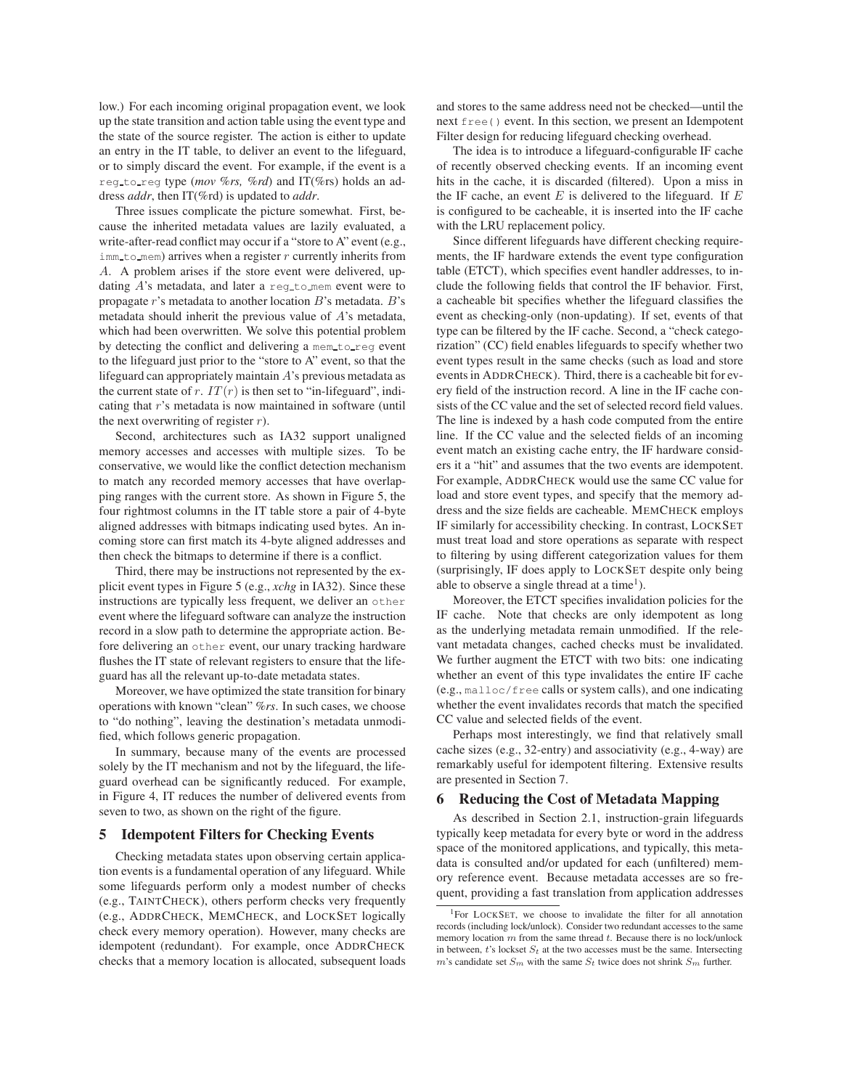low.) For each incoming original propagation event, we look up the state transition and action table using the event type and the state of the source register. The action is either to update an entry in the IT table, to deliver an event to the lifeguard, or to simply discard the event. For example, if the event is a reg to reg type (*mov %rs, %rd*) and IT(%rs) holds an address *addr*, then IT(%rd) is updated to *addr*.

Three issues complicate the picture somewhat. First, because the inherited metadata values are lazily evaluated, a write-after-read conflict may occur if a "store to A" event (e.g.,  $i$ mm to mem) arrives when a register  $r$  currently inherits from A. A problem arises if the store event were delivered, updating  $A$ 's metadata, and later a reg<sub>-to mem</sub> event were to propagate r's metadata to another location B's metadata. B's metadata should inherit the previous value of A's metadata, which had been overwritten. We solve this potential problem by detecting the conflict and delivering a mem\_to\_reg event to the lifeguard just prior to the "store to A" event, so that the lifeguard can appropriately maintain A's previous metadata as the current state of r.  $IT(r)$  is then set to "in-lifeguard", indicating that r's metadata is now maintained in software (until the next overwriting of register  $r$ ).

Second, architectures such as IA32 support unaligned memory accesses and accesses with multiple sizes. To be conservative, we would like the conflict detection mechanism to match any recorded memory accesses that have overlapping ranges with the current store. As shown in Figure 5, the four rightmost columns in the IT table store a pair of 4-byte aligned addresses with bitmaps indicating used bytes. An incoming store can first match its 4-byte aligned addresses and then check the bitmaps to determine if there is a conflict.

Third, there may be instructions not represented by the explicit event types in Figure 5 (e.g., *xchg* in IA32). Since these instructions are typically less frequent, we deliver an other event where the lifeguard software can analyze the instruction record in a slow path to determine the appropriate action. Before delivering an other event, our unary tracking hardware flushes the IT state of relevant registers to ensure that the lifeguard has all the relevant up-to-date metadata states.

Moreover, we have optimized the state transition for binary operations with known "clean" *%rs*. In such cases, we choose to "do nothing", leaving the destination's metadata unmodified, which follows generic propagation.

In summary, because many of the events are processed solely by the IT mechanism and not by the lifeguard, the lifeguard overhead can be significantly reduced. For example, in Figure 4, IT reduces the number of delivered events from seven to two, as shown on the right of the figure.

## **5 Idempotent Filters for Checking Events**

Checking metadata states upon observing certain application events is a fundamental operation of any lifeguard. While some lifeguards perform only a modest number of checks (e.g., TAINTCHECK), others perform checks very frequently (e.g., ADDRCHECK, MEMCHECK, and LOCKSET logically check every memory operation). However, many checks are idempotent (redundant). For example, once ADDRCHECK checks that a memory location is allocated, subsequent loads

and stores to the same address need not be checked—until the next free() event. In this section, we present an Idempotent Filter design for reducing lifeguard checking overhead.

The idea is to introduce a lifeguard-configurable IF cache of recently observed checking events. If an incoming event hits in the cache, it is discarded (filtered). Upon a miss in the IF cache, an event  $E$  is delivered to the lifeguard. If  $E$ is configured to be cacheable, it is inserted into the IF cache with the LRU replacement policy.

Since different lifeguards have different checking requirements, the IF hardware extends the event type configuration table (ETCT), which specifies event handler addresses, to include the following fields that control the IF behavior. First, a cacheable bit specifies whether the lifeguard classifies the event as checking-only (non-updating). If set, events of that type can be filtered by the IF cache. Second, a "check categorization" (CC) field enables lifeguards to specify whether two event types result in the same checks (such as load and store events in ADDRCHECK). Third, there is a cacheable bit for every field of the instruction record. A line in the IF cache consists of the CC value and the set of selected record field values. The line is indexed by a hash code computed from the entire line. If the CC value and the selected fields of an incoming event match an existing cache entry, the IF hardware considers it a "hit" and assumes that the two events are idempotent. For example, ADDRCHECK would use the same CC value for load and store event types, and specify that the memory address and the size fields are cacheable. MEMCHECK employs IF similarly for accessibility checking. In contrast, LOCKSET must treat load and store operations as separate with respect to filtering by using different categorization values for them (surprisingly, IF does apply to LOCKSET despite only being able to observe a single thread at a time<sup>1</sup>).

Moreover, the ETCT specifies invalidation policies for the IF cache. Note that checks are only idempotent as long as the underlying metadata remain unmodified. If the relevant metadata changes, cached checks must be invalidated. We further augment the ETCT with two bits: one indicating whether an event of this type invalidates the entire IF cache (e.g., malloc/free calls or system calls), and one indicating whether the event invalidates records that match the specified CC value and selected fields of the event.

Perhaps most interestingly, we find that relatively small cache sizes (e.g., 32-entry) and associativity (e.g., 4-way) are remarkably useful for idempotent filtering. Extensive results are presented in Section 7.

## **6 Reducing the Cost of Metadata Mapping**

As described in Section 2.1, instruction-grain lifeguards typically keep metadata for every byte or word in the address space of the monitored applications, and typically, this metadata is consulted and/or updated for each (unfiltered) memory reference event. Because metadata accesses are so frequent, providing a fast translation from application addresses

<sup>1</sup>For LOCKSET, we choose to invalidate the filter for all annotation records (including lock/unlock). Consider two redundant accesses to the same memory location  $m$  from the same thread  $t$ . Because there is no lock/unlock in between,  $t$ 's lockset  $S_t$  at the two accesses must be the same. Intersecting  $m$ 's candidate set  $S_m$  with the same  $S_t$  twice does not shrink  $S_m$  further.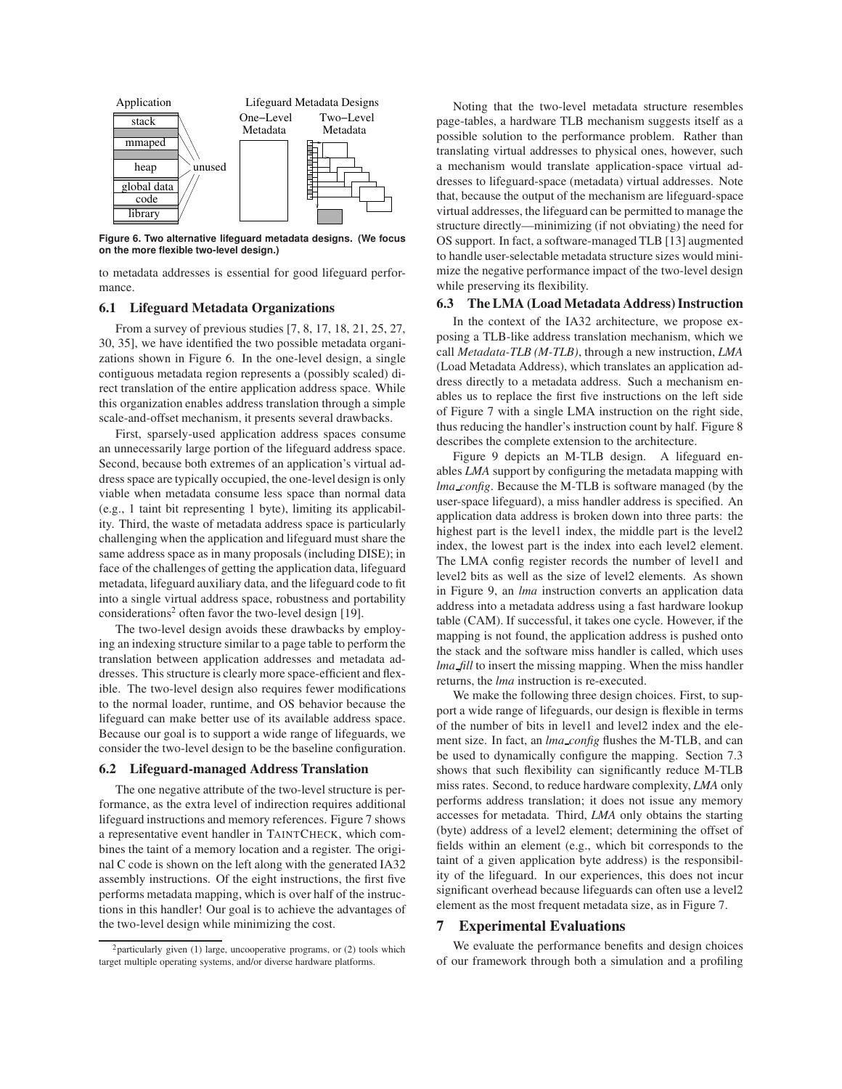

**Figure 6. Two alternative lifeguard metadata designs. (We focus on the more flexible two-level design.)**

to metadata addresses is essential for good lifeguard performance.

#### **6.1 Lifeguard Metadata Organizations**

From a survey of previous studies [7, 8, 17, 18, 21, 25, 27, 30, 35], we have identified the two possible metadata organizations shown in Figure 6. In the one-level design, a single contiguous metadata region represents a (possibly scaled) direct translation of the entire application address space. While this organization enables address translation through a simple scale-and-offset mechanism, it presents several drawbacks.

First, sparsely-used application address spaces consume an unnecessarily large portion of the lifeguard address space. Second, because both extremes of an application's virtual address space are typically occupied, the one-level design is only viable when metadata consume less space than normal data (e.g., 1 taint bit representing 1 byte), limiting its applicability. Third, the waste of metadata address space is particularly challenging when the application and lifeguard must share the same address space as in many proposals (including DISE); in face of the challenges of getting the application data, lifeguard metadata, lifeguard auxiliary data, and the lifeguard code to fit into a single virtual address space, robustness and portability considerations<sup>2</sup> often favor the two-level design  $[19]$ .

The two-level design avoids these drawbacks by employing an indexing structure similar to a page table to perform the translation between application addresses and metadata addresses. This structure is clearly more space-efficient and flexible. The two-level design also requires fewer modifications to the normal loader, runtime, and OS behavior because the lifeguard can make better use of its available address space. Because our goal is to support a wide range of lifeguards, we consider the two-level design to be the baseline configuration.

#### **6.2 Lifeguard-managed Address Translation**

The one negative attribute of the two-level structure is performance, as the extra level of indirection requires additional lifeguard instructions and memory references. Figure 7 shows a representative event handler in TAINTCHECK, which combines the taint of a memory location and a register. The original C code is shown on the left along with the generated IA32 assembly instructions. Of the eight instructions, the first five performs metadata mapping, which is over half of the instructions in this handler! Our goal is to achieve the advantages of the two-level design while minimizing the cost.

Noting that the two-level metadata structure resembles page-tables, a hardware TLB mechanism suggests itself as a possible solution to the performance problem. Rather than translating virtual addresses to physical ones, however, such a mechanism would translate application-space virtual addresses to lifeguard-space (metadata) virtual addresses. Note that, because the output of the mechanism are lifeguard-space virtual addresses, the lifeguard can be permitted to manage the structure directly—minimizing (if not obviating) the need for OS support. In fact, a software-managed TLB [13] augmented to handle user-selectable metadata structure sizes would minimize the negative performance impact of the two-level design while preserving its flexibility.

#### **6.3 The LMA (Load Metadata Address) Instruction**

In the context of the IA32 architecture, we propose exposing a TLB-like address translation mechanism, which we call *Metadata-TLB (M-TLB)*, through a new instruction, *LMA* (Load Metadata Address), which translates an application address directly to a metadata address. Such a mechanism enables us to replace the first five instructions on the left side of Figure 7 with a single LMA instruction on the right side, thus reducing the handler's instruction count by half. Figure 8 describes the complete extension to the architecture.

Figure 9 depicts an M-TLB design. A lifeguard enables *LMA* support by configuring the metadata mapping with *lma config*. Because the M-TLB is software managed (by the user-space lifeguard), a miss handler address is specified. An application data address is broken down into three parts: the highest part is the level1 index, the middle part is the level2 index, the lowest part is the index into each level2 element. The LMA config register records the number of level1 and level2 bits as well as the size of level2 elements. As shown in Figure 9, an *lma* instruction converts an application data address into a metadata address using a fast hardware lookup table (CAM). If successful, it takes one cycle. However, if the mapping is not found, the application address is pushed onto the stack and the software miss handler is called, which uses *lma fill* to insert the missing mapping. When the miss handler returns, the *lma* instruction is re-executed.

We make the following three design choices. First, to support a wide range of lifeguards, our design is flexible in terms of the number of bits in level1 and level2 index and the element size. In fact, an *lma config* flushes the M-TLB, and can be used to dynamically configure the mapping. Section 7.3 shows that such flexibility can significantly reduce M-TLB miss rates. Second, to reduce hardware complexity, *LMA* only performs address translation; it does not issue any memory accesses for metadata. Third, *LMA* only obtains the starting (byte) address of a level2 element; determining the offset of fields within an element (e.g., which bit corresponds to the taint of a given application byte address) is the responsibility of the lifeguard. In our experiences, this does not incur significant overhead because lifeguards can often use a level2 element as the most frequent metadata size, as in Figure 7.

### **7 Experimental Evaluations**

We evaluate the performance benefits and design choices of our framework through both a simulation and a profiling

 $2$  particularly given (1) large, uncooperative programs, or (2) tools which target multiple operating systems, and/or diverse hardware platforms.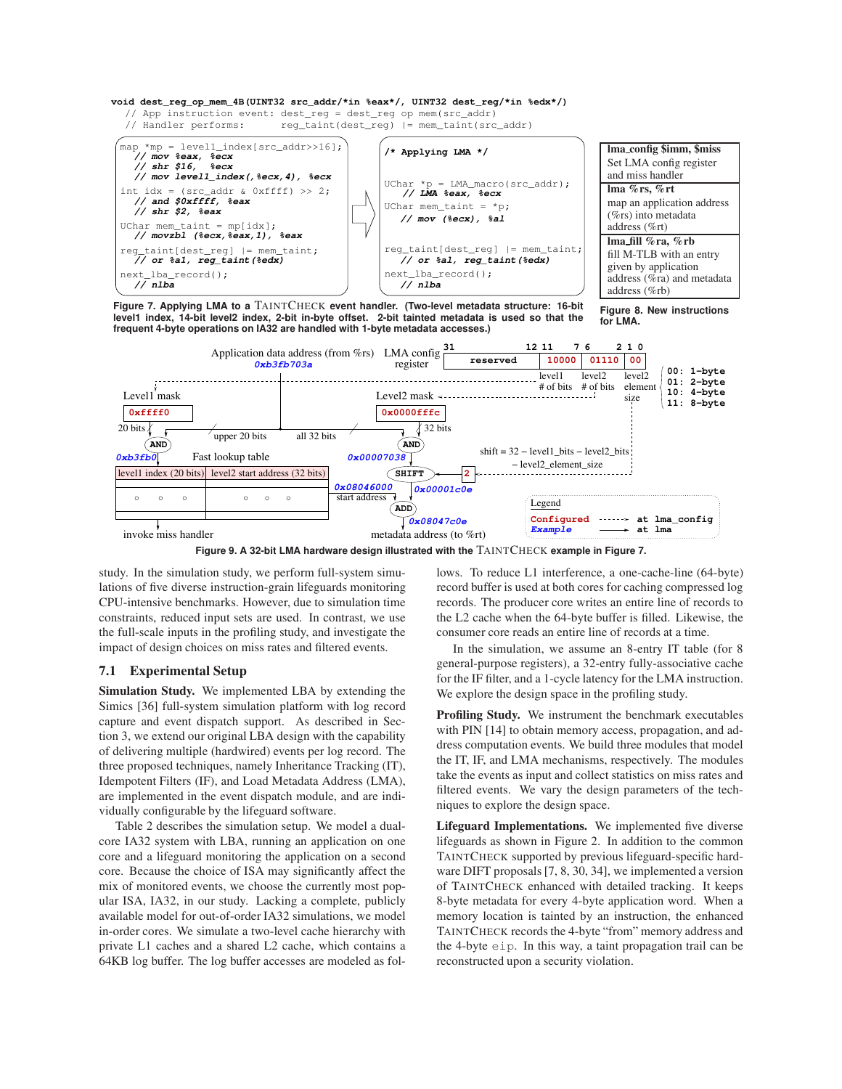**void dest\_reg\_op\_mem\_4B(UINT32 src\_addr/\*in %eax\*/, UINT32 dest\_reg/\*in %edx\*/)**

- // App instruction event: dest\_reg = dest\_reg op mem(src\_addr)<br>// Handler performs: reg\_taint(dest\_reg) |= mem\_taint(src
- reg\_taint(dest\_reg) |= mem\_taint(src\_addr)





**Figure 9. A 32-bit LMA hardware design illustrated with the** TAINTCHECK **example in Figure 7.**

study. In the simulation study, we perform full-system simulations of five diverse instruction-grain lifeguards monitoring CPU-intensive benchmarks. However, due to simulation time constraints, reduced input sets are used. In contrast, we use the full-scale inputs in the profiling study, and investigate the impact of design choices on miss rates and filtered events.

### **7.1 Experimental Setup**

**Simulation Study.** We implemented LBA by extending the Simics [36] full-system simulation platform with log record capture and event dispatch support. As described in Section 3, we extend our original LBA design with the capability of delivering multiple (hardwired) events per log record. The three proposed techniques, namely Inheritance Tracking (IT), Idempotent Filters (IF), and Load Metadata Address (LMA), are implemented in the event dispatch module, and are individually configurable by the lifeguard software.

Table 2 describes the simulation setup. We model a dualcore IA32 system with LBA, running an application on one core and a lifeguard monitoring the application on a second core. Because the choice of ISA may significantly affect the mix of monitored events, we choose the currently most popular ISA, IA32, in our study. Lacking a complete, publicly available model for out-of-order IA32 simulations, we model in-order cores. We simulate a two-level cache hierarchy with private L1 caches and a shared L2 cache, which contains a 64KB log buffer. The log buffer accesses are modeled as follows. To reduce L1 interference, a one-cache-line (64-byte) record buffer is used at both cores for caching compressed log records. The producer core writes an entire line of records to the L2 cache when the 64-byte buffer is filled. Likewise, the consumer core reads an entire line of records at a time.

In the simulation, we assume an 8-entry IT table (for 8 general-purpose registers), a 32-entry fully-associative cache for the IF filter, and a 1-cycle latency for the LMA instruction. We explore the design space in the profiling study.

**Profiling Study.** We instrument the benchmark executables with PIN [14] to obtain memory access, propagation, and address computation events. We build three modules that model the IT, IF, and LMA mechanisms, respectively. The modules take the events as input and collect statistics on miss rates and filtered events. We vary the design parameters of the techniques to explore the design space.

**Lifeguard Implementations.** We implemented five diverse lifeguards as shown in Figure 2. In addition to the common TAINTCHECK supported by previous lifeguard-specific hardware DIFT proposals [7, 8, 30, 34], we implemented a version of TAINTCHECK enhanced with detailed tracking. It keeps 8-byte metadata for every 4-byte application word. When a memory location is tainted by an instruction, the enhanced TAINTCHECK records the 4-byte "from" memory address and the 4-byte eip. In this way, a taint propagation trail can be reconstructed upon a security violation.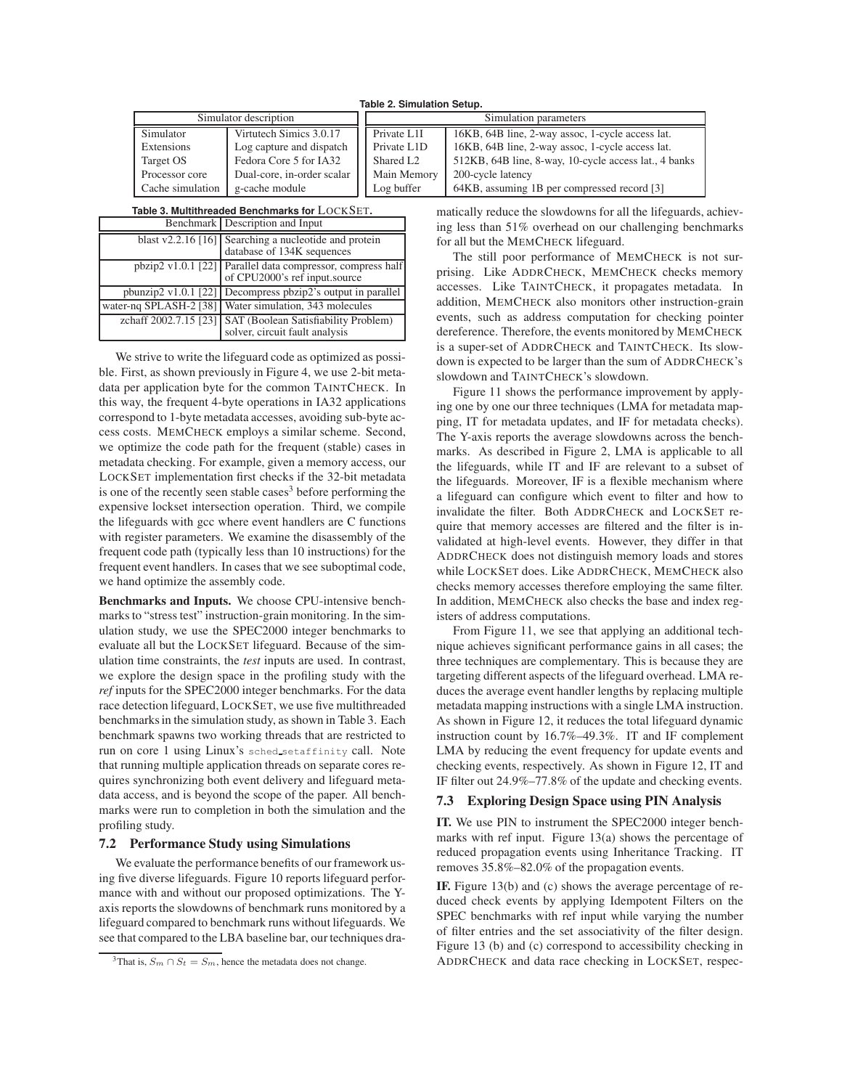|  | Table 2. Simulation Setup. |  |
|--|----------------------------|--|
|--|----------------------------|--|

|                  | Simulator description      | Simulation parameters    |                                                       |
|------------------|----------------------------|--------------------------|-------------------------------------------------------|
| Simulator        | Virtutech Simics 3.0.17    | Private L <sub>1</sub> I | 16KB, 64B line, 2-way assoc, 1-cycle access lat.      |
| Extensions       | Log capture and dispatch   | Private L <sub>1</sub> D | 16KB, 64B line, 2-way assoc, 1-cycle access lat.      |
| Target OS        | Fedora Core 5 for IA32     | Shared L <sub>2</sub>    | 512KB, 64B line, 8-way, 10-cycle access lat., 4 banks |
| Processor core   | Dual-core, in-order scalar | Main Memory              | 200-cycle latency                                     |
| Cache simulation | g-cache module             | Log buffer               | 64KB, assuming 1B per compressed record [3]           |

**Table 3. Multithreaded Benchmarks for** LOCKSET**.**

| Benchmark Description and Input                                                              |
|----------------------------------------------------------------------------------------------|
| blast v2.2.16 [16] Searching a nucleotide and protein<br>database of $134K$ sequences        |
| pbzip2 v1.0.1 [22] Parallel data compressor, compress half<br>of CPU2000's ref input.source  |
| pbunzip2 v1.0.1 [22] Decompress pbzip2's output in parallel                                  |
| water-ng SPLASH-2 [38] Water simulation, 343 molecules                                       |
| zchaff 2002.7.15 [23] SAT (Boolean Satisfiability Problem)<br>solver, circuit fault analysis |

We strive to write the lifeguard code as optimized as possible. First, as shown previously in Figure 4, we use 2-bit metadata per application byte for the common TAINTCHECK. In this way, the frequent 4-byte operations in IA32 applications correspond to 1-byte metadata accesses, avoiding sub-byte access costs. MEMCHECK employs a similar scheme. Second, we optimize the code path for the frequent (stable) cases in metadata checking. For example, given a memory access, our LOCKSET implementation first checks if the 32-bit metadata is one of the recently seen stable cases<sup>3</sup> before performing the expensive lockset intersection operation. Third, we compile the lifeguards with gcc where event handlers are C functions with register parameters. We examine the disassembly of the frequent code path (typically less than 10 instructions) for the frequent event handlers. In cases that we see suboptimal code, we hand optimize the assembly code.

**Benchmarks and Inputs.** We choose CPU-intensive benchmarks to "stress test" instruction-grain monitoring. In the simulation study, we use the SPEC2000 integer benchmarks to evaluate all but the LOCKSET lifeguard. Because of the simulation time constraints, the *test* inputs are used. In contrast, we explore the design space in the profiling study with the *ref* inputs for the SPEC2000 integer benchmarks. For the data race detection lifeguard, LOCKSET, we use five multithreaded benchmarks in the simulation study, as shown in Table 3. Each benchmark spawns two working threads that are restricted to run on core 1 using Linux's sched setaffinity call. Note that running multiple application threads on separate cores requires synchronizing both event delivery and lifeguard metadata access, and is beyond the scope of the paper. All benchmarks were run to completion in both the simulation and the profiling study.

#### **7.2 Performance Study using Simulations**

We evaluate the performance benefits of our framework using five diverse lifeguards. Figure 10 reports lifeguard performance with and without our proposed optimizations. The Yaxis reports the slowdowns of benchmark runs monitored by a lifeguard compared to benchmark runs without lifeguards. We see that compared to the LBA baseline bar, our techniques dramatically reduce the slowdowns for all the lifeguards, achieving less than 51% overhead on our challenging benchmarks for all but the MEMCHECK lifeguard.

The still poor performance of MEMCHECK is not surprising. Like ADDRCHECK, MEMCHECK checks memory accesses. Like TAINTCHECK, it propagates metadata. In addition, MEMCHECK also monitors other instruction-grain events, such as address computation for checking pointer dereference. Therefore, the events monitored by MEMCHECK is a super-set of ADDRCHECK and TAINTCHECK. Its slowdown is expected to be larger than the sum of ADDRCHECK's slowdown and TAINTCHECK's slowdown.

Figure 11 shows the performance improvement by applying one by one our three techniques (LMA for metadata mapping, IT for metadata updates, and IF for metadata checks). The Y-axis reports the average slowdowns across the benchmarks. As described in Figure 2, LMA is applicable to all the lifeguards, while IT and IF are relevant to a subset of the lifeguards. Moreover, IF is a flexible mechanism where a lifeguard can configure which event to filter and how to invalidate the filter. Both ADDRCHECK and LOCKSET require that memory accesses are filtered and the filter is invalidated at high-level events. However, they differ in that ADDRCHECK does not distinguish memory loads and stores while LOCKSET does. Like ADDRCHECK, MEMCHECK also checks memory accesses therefore employing the same filter. In addition, MEMCHECK also checks the base and index registers of address computations.

From Figure 11, we see that applying an additional technique achieves significant performance gains in all cases; the three techniques are complementary. This is because they are targeting different aspects of the lifeguard overhead. LMA reduces the average event handler lengths by replacing multiple metadata mapping instructions with a single LMA instruction. As shown in Figure 12, it reduces the total lifeguard dynamic instruction count by 16.7%–49.3%. IT and IF complement LMA by reducing the event frequency for update events and checking events, respectively. As shown in Figure 12, IT and IF filter out 24.9%–77.8% of the update and checking events.

#### **7.3 Exploring Design Space using PIN Analysis**

**IT.** We use PIN to instrument the SPEC2000 integer benchmarks with ref input. Figure 13(a) shows the percentage of reduced propagation events using Inheritance Tracking. IT removes 35.8%–82.0% of the propagation events.

**IF.** Figure 13(b) and (c) shows the average percentage of reduced check events by applying Idempotent Filters on the SPEC benchmarks with ref input while varying the number of filter entries and the set associativity of the filter design. Figure 13 (b) and (c) correspond to accessibility checking in ADDRCHECK and data race checking in LOCKSET, respec-

<sup>&</sup>lt;sup>3</sup>That is,  $S_m \cap S_t = S_m$ , hence the metadata does not change.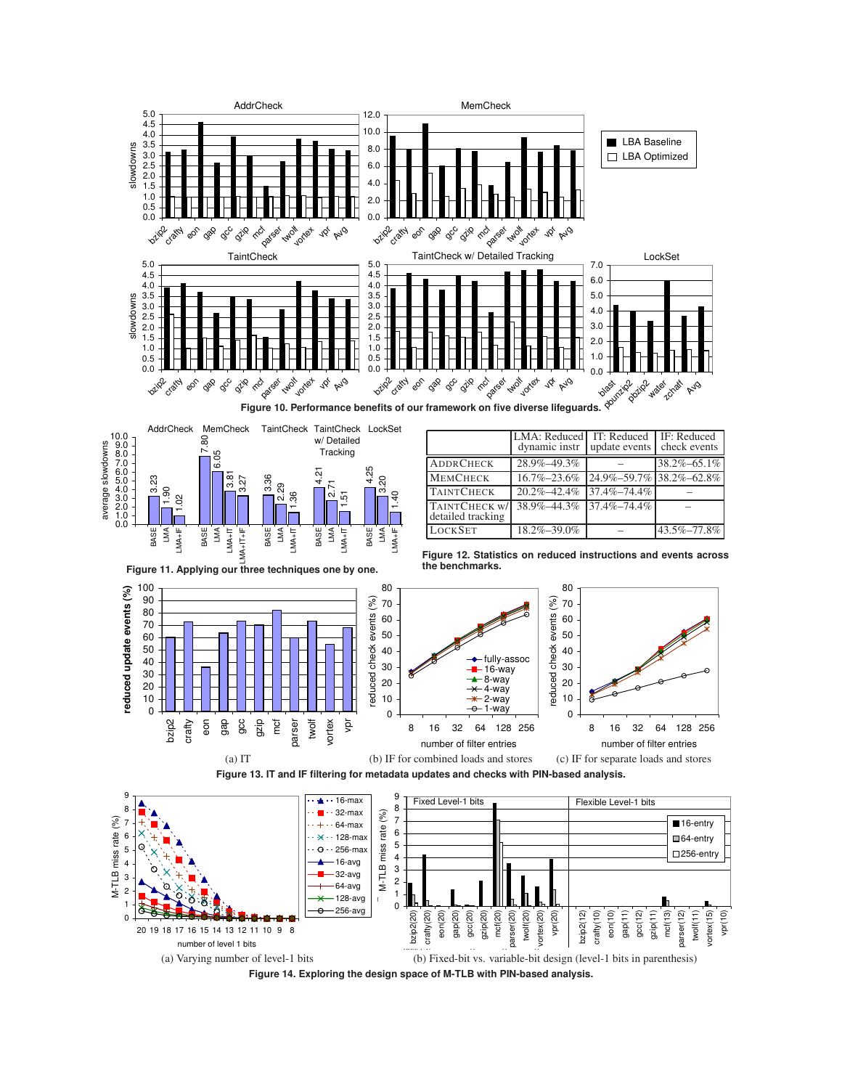